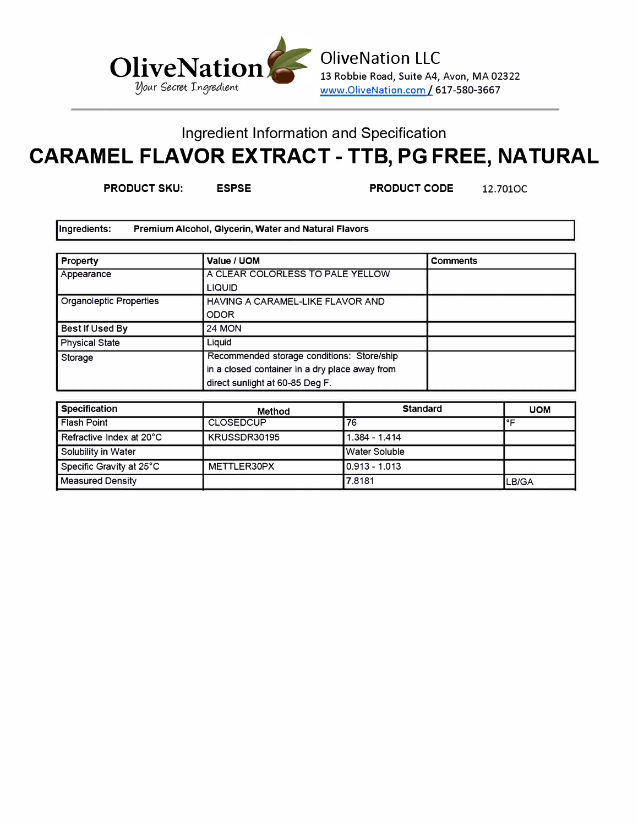

13 Robbie Road, Suite A4, Avon, MA 02322 www.OliveNation.com/ 617-580-3667

## Ingredient Information and Specification **CARAMEL FLAVOR EXTRACT -TTB, PG FREE, NATURAL**

**PRODUCT SKU: ESPSE PRODUCT CODE** 12.7010C

Ingredients: **Premium** Alcohol, Glycerin, **Water** and Natural **Flavors** 

| Property                | Value / UOM                                    | <b>Comments</b> |
|-------------------------|------------------------------------------------|-----------------|
| Appearance              | A CLEAR COLORLESS TO PALE YELLOW               |                 |
|                         | <b>LIQUID</b>                                  |                 |
| Organoleptic Properties | HAVING A CARAMEL-LIKE FLAVOR AND               |                 |
|                         | <b>ODOR</b>                                    |                 |
| Best If Used By         | <b>24 MON</b>                                  |                 |
| <b>Physical State</b>   | Liauid                                         |                 |
| Storage                 | Recommended storage conditions: Store/ship     |                 |
|                         | in a closed container in a dry place away from |                 |
|                         | direct sunlight at 60-85 Deg F.                |                 |

| <b>Specification</b>     | Method           | <b>Standard</b> | <b>UOM</b> |
|--------------------------|------------------|-----------------|------------|
| <b>Flash Point</b>       | <b>CLOSEDCUP</b> | 76              |            |
| Refractive Index at 20°C | KRUSSDR30195     | $1.384 - 1.414$ |            |
| Solubility in Water      |                  | I Water Soluble |            |
| Specific Gravity at 25°C | METTLER30PX      | 10.913 - 1.013  |            |
| <b>Measured Density</b>  |                  | 17.8181         | LB/GA      |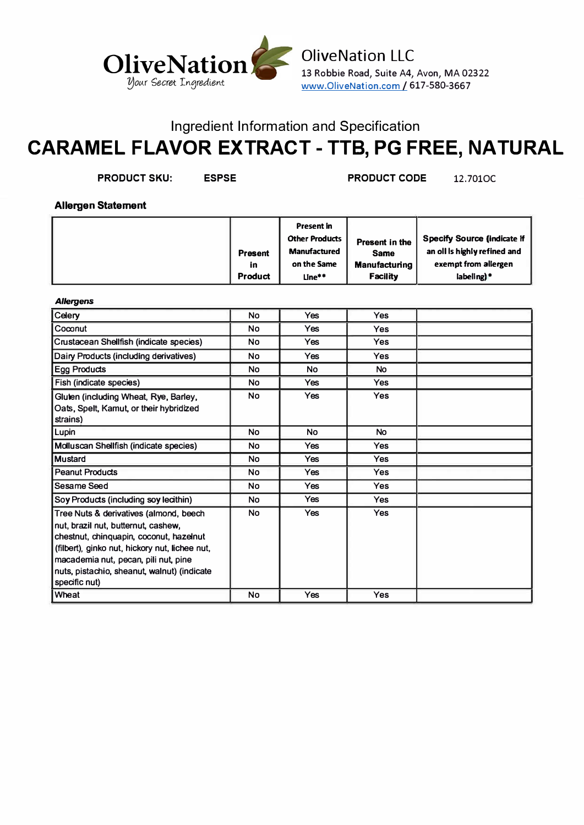

**PRODUCT SKU: ESPSE PRODUCT CODE** 12.7010(

**Allergen Statement** 

|  | <b>Present in</b><br><b>Other Products  </b><br><b>Manufactured</b><br><b>Present</b><br>on the Same<br>in<br>Product<br>Line** | Present in the<br><b>Same</b><br><b>Manufacturing</b><br><b>Facility</b> | Specify Source (indicate if<br>an oll is highly refined and<br>exempt from allergen<br>labeling)* |
|--|---------------------------------------------------------------------------------------------------------------------------------|--------------------------------------------------------------------------|---------------------------------------------------------------------------------------------------|
|--|---------------------------------------------------------------------------------------------------------------------------------|--------------------------------------------------------------------------|---------------------------------------------------------------------------------------------------|

#### *Allergens*

| Celery                                                                                                                                                                                                                                                                             | <b>No</b> | Yes        | <b>Yes</b> |  |
|------------------------------------------------------------------------------------------------------------------------------------------------------------------------------------------------------------------------------------------------------------------------------------|-----------|------------|------------|--|
| l Coconut                                                                                                                                                                                                                                                                          | No        | Yes        | Yes        |  |
| Crustacean Shellfish (indicate species)                                                                                                                                                                                                                                            | <b>No</b> | <b>Yes</b> | <b>Yes</b> |  |
| Dairy Products (including derivatives)                                                                                                                                                                                                                                             | <b>No</b> | <b>Yes</b> | <b>Yes</b> |  |
| <b>Egg Products</b>                                                                                                                                                                                                                                                                | <b>No</b> | <b>No</b>  | <b>No</b>  |  |
| Fish (indicate species)                                                                                                                                                                                                                                                            | <b>No</b> | <b>Yes</b> | <b>Yes</b> |  |
| Gluten (including Wheat, Rye, Barley,<br>Oats, Spelt, Kamut, or their hybridized<br>strains)                                                                                                                                                                                       | No.       | <b>Yes</b> | <b>Yes</b> |  |
| Lupin                                                                                                                                                                                                                                                                              | <b>No</b> | <b>No</b>  | <b>No</b>  |  |
| Molluscan Shellfish (indicate species)                                                                                                                                                                                                                                             | <b>No</b> | Yes        | <b>Yes</b> |  |
| <u>I</u> Mustard                                                                                                                                                                                                                                                                   | No        | <b>Yes</b> | <b>Yes</b> |  |
| <b>Peanut Products</b>                                                                                                                                                                                                                                                             | <b>No</b> | Yes        | <b>Yes</b> |  |
| l Sesame Seed                                                                                                                                                                                                                                                                      | <b>No</b> | <b>Yes</b> | <b>Yes</b> |  |
| Soy Products (including soy lecithin)                                                                                                                                                                                                                                              | <b>No</b> | <b>Yes</b> | <b>Yes</b> |  |
| Tree Nuts & derivatives (almond, beech<br>nut, brazil nut, butternut, cashew,<br>chestnut, chinquapin, coconut, hazelnut<br>(filbert), ginko nut, hickory nut, lichee nut,<br>macademia nut, pecan, pili nut, pine<br>nuts, pistachio, sheanut, walnut) (indicate<br>specific nut) | <b>No</b> | <b>Yes</b> | <b>Yes</b> |  |
| l Wheat                                                                                                                                                                                                                                                                            | No        | Yes        | Yes        |  |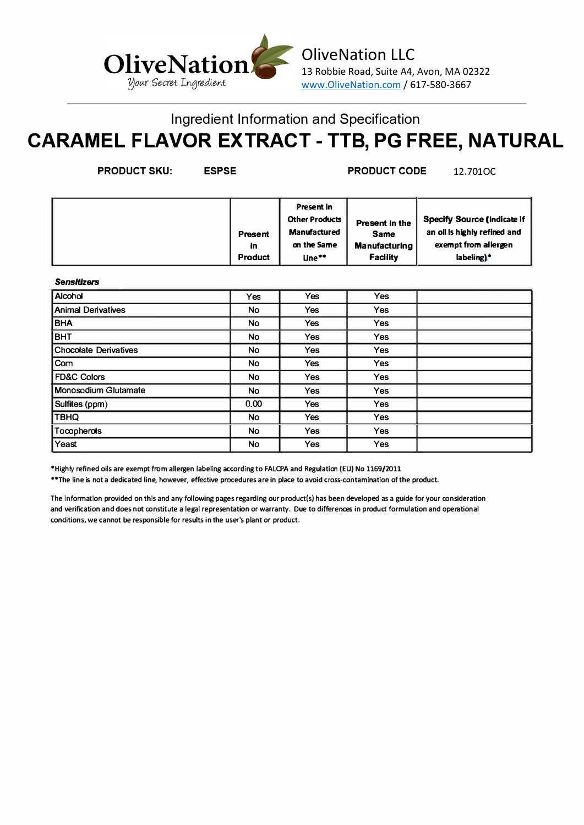

**PRODUCT SKU: ESPSE PRODUCT CODE** 12.7010(

|  | <b>Present</b><br>in<br><b>Product</b> | <b>Present in</b><br><b>Other Products</b><br><b>Manufactured</b><br>on the Same<br>Line** | Present in the<br><b>Same</b><br><b>Manufacturing</b><br><b>Facility</b> | <b>Specify Source (indicate if</b><br>an oil is highly refined and<br>exempt from allergen<br>labeling)* |
|--|----------------------------------------|--------------------------------------------------------------------------------------------|--------------------------------------------------------------------------|----------------------------------------------------------------------------------------------------------|
|--|----------------------------------------|--------------------------------------------------------------------------------------------|--------------------------------------------------------------------------|----------------------------------------------------------------------------------------------------------|

#### **Sensitizers**

| Alcohol                      | <b>Yes</b> | <b>Yes</b> | <b>Yes</b> |  |
|------------------------------|------------|------------|------------|--|
| <b>Animal Derivatives</b>    | <b>No</b>  | <b>Yes</b> | <b>Yes</b> |  |
| <b>BHA</b>                   | <b>No</b>  | <b>Yes</b> | <b>Yes</b> |  |
| внт                          | <b>No</b>  | <b>Yes</b> | <b>Yes</b> |  |
| <b>Chocolate Derivatives</b> | <b>No</b>  | <b>Yes</b> | <b>Yes</b> |  |
| Com                          | <b>No</b>  | <b>Yes</b> | Yes        |  |
| <b>FD&amp;C Colors</b>       | <b>No</b>  | <b>Yes</b> | <b>Yes</b> |  |
| Monosodium Glutamate         | <b>No</b>  | <b>Yes</b> | <b>Yes</b> |  |
| Sulfites (ppm)               | 0.00       | <b>Yes</b> | <b>Yes</b> |  |
| TBHQ                         | <b>No</b>  | <b>Yes</b> | Yes        |  |
| Tocopherols                  | No         | <b>Yes</b> | <b>Yes</b> |  |
| Yeast                        | No         | <b>Yes</b> | Yes        |  |

\*Highly refined oils are exempt from allergen labeling according to FALCPA and Regulation (EU) No 1169/2011

**••The line is not a dedicated line, however, effective procedures are in place to avoid cross-contamination of the product.**

**The information provided on this and any following pages regarding our product(s) has been developed as a guide for your consideration and verification and does not constitute a legal representation or warranty. Due to differences in product formulation and operational conditions, we cannot be responsible for results in the user's plant or product.**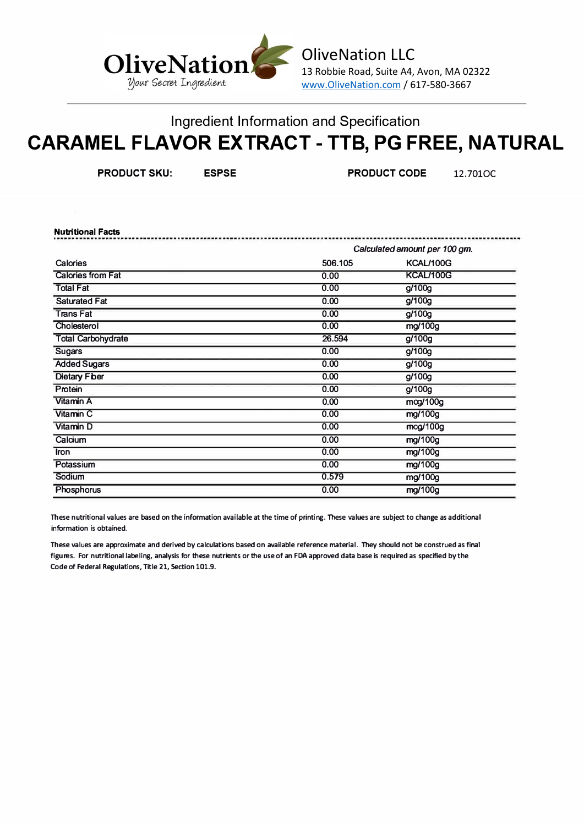

**PRODUCT SKU: ESPSE PRODUCT CODE** 12.7010(

| <b>Nutritional Facts</b>  |                               |                  |  |
|---------------------------|-------------------------------|------------------|--|
|                           | Calculated amount per 100 gm. |                  |  |
| Calories                  | 506.105                       | KCAL/100G        |  |
| <b>Calories from Fat</b>  | 0.00                          | <b>KCAL/100G</b> |  |
| <b>Total Fat</b>          | 0.00                          | g/100g           |  |
| <b>Saturated Fat</b>      | 0.00                          | g/100g           |  |
| <b>TransFat</b>           | 0.00                          | g/100g           |  |
| Cholesterol               | 0.00                          | mg/100g          |  |
| <b>Total Carbohydrate</b> | 26.594                        | g/100g           |  |
| <b>Sugars</b>             | 0.00                          | g/100g           |  |
| <b>Added Sugars</b>       | 0.00                          | g/100g           |  |
| <b>Dietary Fiber</b>      | 0.00                          | g/100g           |  |
| Protein                   | 0.00                          | g/100g           |  |
| Vitamin A                 | 0.00                          | mog/100g         |  |
| Vitamin C                 | 0.00                          | mg/100g          |  |
| Vitamin D                 | 0.00                          | mcg/100g         |  |
| Calcium                   | 0.00                          | mg/100g          |  |
| <b>Iron</b>               | 0.00                          | mg/100g          |  |
| Potassium                 | 0.00                          | mg/100g          |  |
| Sodium                    | 0.579                         | mg/100g          |  |
| Phosphorus                | 0.00                          | mg/100g          |  |

**These n utritional values are based on the information available at the time of printing. These values are subject to change as additional information is obtained.** 

**These values are approximate and derived by calculations based on available reference material. They should not be construed as final figures. For nutritional labeling, analysis for these nutrients or the use of an FDA approved data base is required as specified by the Code of Federal Regulations, Title 21, Section 101.9.**